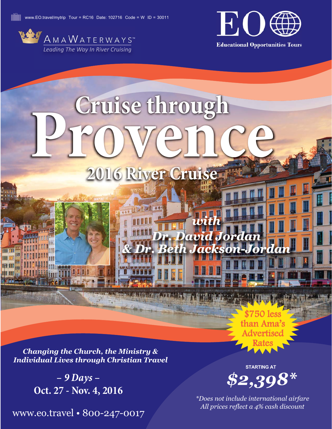



**Educational Opportunities Tours** 

# Cruise through<br>I CO VCINCE **Prove Source 2016 River Cruise**

**2016 River Cruise Cruise** 

*with* 

*& Dr. Beth Jackson-Jordan*

*Dr. David Jordan* 

*Changing the Church, the Ministry & Individual Lives through Christian Travel*

> *– 9 Days –* **Oct. 27 - Nov. 4, 2016**

www.eo.travel • 800-247-0017

*\$2,398\** **STARTING AT**

750 le than Ama's Advertised Rates

*\*Does not include international airfare All prices reflect a 4% cash discount*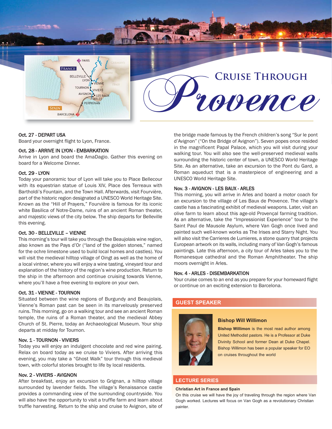**B** PARIS FRANCE BELLEVILLE **TOURNON VIVIERS** AVIGNON · LES BAUX **PERPIGNAN SPAIN** BARCELONA

# **CRUISE THROUGH<br>LOUENCE**

# Oct. 27 - DEPART USA

Board your overnight flight to Lyon, France.

# Oct. 28 - ARRIVE IN LYON - EMBARKATION

Arrive in Lyon and board the AmaDagio. Gather this evening on board for a Welcome Dinner.

# Oct. 29 - LYON

Today your panoramic tour of Lyon will take you to Place Bellecour with its equestrian statue of Louis XIV, Place des Terreaux with Bartholdi's Fountain, and the Town Hall. Afterwards, visit Fourvière, part of the historic region designated a UNESCO World Heritage Site. Known as the "Hill of Prayers," Fourvière is famous for its iconic white Basilica of Notre-Dame, ruins of an ancient Roman theater, and majestic views of the city below. The ship departs for Belleville this evening.

# Oct. 30 - BELLEVILLE – VIENNE

This morning's tour will take you through the Beaujolais wine region, also known as the Pays d'Or ("land of the golden stones," named for the ochre limestone used to build local homes and castles). You will visit the medieval hilltop village of Oingt as well as the home of a local vintner, where you will enjoy a wine tasting, vineyard tour and explanation of the history of the region's wine production. Return to the ship in the afternoon and continue cruising towards Vienne, where you'll have a free evening to explore on your own.

# Oct. 31 - VIENNE - TOURNON

Situated between the wine regions of Burgundy and Beaujolais, Vienne's Roman past can be seen in its marvelously preserved ruins. This morning, go on a walking tour and see an ancient Roman temple, the ruins of a Roman theater, and the medieval Abbey Church of St. Pierre, today an Archaeological Museum. Your ship departs at midday for Tournon.

# Nov. 1 - TOURNON - VIVIERS

Today you will enjoy an indulgent chocolate and red wine pairing. Relax on board today as we cruise to Viviers. After arriving this evening, you may take a "Ghost Walk" tour through this medieval town, with colorful stories brought to life by local residents.

# Nov. 2 - VIVIERS - AVIGNON

After breakfast, enjoy an excursion to Grignan, a hilltop village surrounded by lavender fields. The village's Renaissance castle provides a commanding view of the surrounding countryside. You will also have the opportunity to visit a truffle farm and learn about truffle harvesting. Return to the ship and cruise to Avignon, site of the bridge made famous by the French children's song "Sur le pont d'Avignon" ("On the Bridge of Avignon"). Seven popes once resided in the magnificent Papal Palace, which you will visit during your walking tour. You will also see the well-preserved medieval walls surrounding the historic center of town, a UNESCO World Heritage Site. As an alternative, take an excursion to the Pont du Gard, a Roman aqueduct that is a masterpiece of engineering and a UNESCO World Heritage Site.

# Nov. 3 - AVIGNON - LES BAUX - ARLES

This morning, you will arrive in Arles and board a motor coach for an excursion to the village of Les Baux de Provence. The village's castle has a fascinating exhibit of medieval weapons. Later, visit an olive farm to learn about this age-old Provençal farming tradition. As an alternative, take the "Impressionist Experience" tour to the Saint Paul de Mausole Asylum, where Van Gogh once lived and painted such well-known works as The Irises and Starry Night. You will also visit the Carrieres de Lumieres, a stone quarry that projects European artwork on its walls, including many of Van Gogh's famous paintings. Late this afternoon, a city tour of Arles takes you to the Romanesque cathedral and the Roman Amphitheater. The ship moors overnight in Arles.

# Nov. 4 - ARLES - DISEMBARKATION

Your cruise comes to an end as you prepare for your homeward flight or continue on an exciting extension to Barcelona.

# **GUEST SPEAKER**



# **Bishop Will Willimon**

**Bishop Willimon** is the most read author among United Methodist pastors. He is a Professor at Duke Divinity School and former Dean at Duke Chapel. Bishop Willimon has been a popular speaker for EO on cruises throughout the world

# **LECTURE SERIES**

# **Christian Art in France and Spain**

On this cruise we will have the joy of traveling through the region where Van Gogh worked. Lectures will focus on Van Gogh as a revolutionary Christian painter.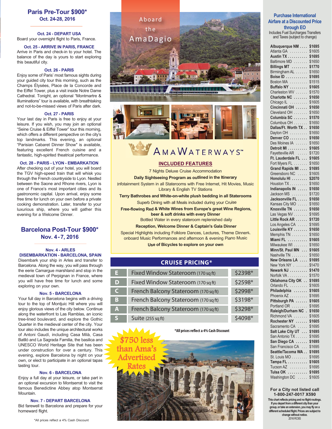# **Paris Pre-Tour \$900\* Oct. 24-28, 2016**

**Oct. 24 - DEPART USA** Board your overnight flight to Paris, France.

# **Oct. 25 - ARRIVE IN PARIS, FRANCE**

Arrive in Paris and check-in to your hotel. The balance of the day is yours to start exploring this beautiful city.

# **Oct. 26 - PARIS**

Enjoy some of Paris' most famous sights during your guided city tour this morning, such as the Champs Élysées, Place de la Concorde and the Eiffel Tower, plus a visit inside Notre Dame Cathedral. Tonight, an optional "Montmartre & Illuminations" tour is available, with breathtaking and not-to-be-missed views of Paris after dark.

# **Oct. 27 - PARIS**

Your last day in Paris is free to enjoy at your leisure. If you wish, you may join an optional "Seine Cruise & Eiffel Tower" tour this morning, which offers a different perspective on the city's top landmarks. This evening, an optional "Parisian Cabaret Dinner Show" is available, featuring excellent French cuisine and a fantastic, high-spirited theatrical performance.

# **Oct. 28 - PARIS - LYON - EMBARKATION**

After checking out of your hotel, you will board the TGV high-speed train that will whisk you through the French countryside to Lyon. Nestled between the Saone and Rhone rivers, Lyon is one of France's most important cities and its gastronomic capital. Upon arrival, enjoy some free time for lunch on your own before a private cooking demonstration. Later, transfer to your luxurious ship, where you will gather this evening for a Welcome Dinner.

# **Barcelona Post-Tour \$900\* Nov. 4-7, 2016**

# **Nov. 4 - ARLES DISEMBARKATION - BARCELONA, SPAIN**

Disembark your ship in Arles and transfer to Barcelona. Along the way, you will pass through the eerie Camargue marshland and stop in the medieval town of Perpignan in France, where you will have free time for lunch and some exploring on your own.

# **Nov. 5 - BARCELONA**

Your full day in Barcelona begins with a driving tour to the top of Montjuic Hill where you will enjoy glorious views of the city below. Continue along the waterfront to Las Ramblas, an iconic tree-lined boulevard, and explore the Gothic Quarter in the medieval center of the city. Your tour also includes the unique architectural works of Antoni Gaudí, including Casa Milà, Casa Batlló and La Sagrada Familia, the basilica and UNESCO World Heritage Site that has been under construction for over a century. This evening, explore Barcelona by night on your own, or elect to participate in an optional tapas tasting tour.

# **Nov. 6 - BARCELONA**

Enjoy a full day at your leisure, or take part in an optional excursion to Montserrat to visit the famous Benedictine Abbey atop Montserrat Mountain.

# **Nov. 7 - DEPART BARCELONA**

Bid farewell to Barcelona and prepare for your homeward flight.



# AMAWATERWAYS"

# **INCLUDED FEATURES**

7 Nights Deluxe Cruise Accommodation

**Daily Sightseeing Program as outlined in the Itinerary** Infotainment System in all Staterooms with Free Internet, Hit Movies, Music Library & English TV Stations

**Terry Bathrobes and White-on-white plush bedding in all Staterooms** Superb Dining with all Meals included during your Cruise

**Free-flowing Red & White Wines from Europe's great Wine Regions, beer & soft drinks with every Dinner**  Bottled Water in every stateroom replenished daily

**Reception, Welcome Dinner & Captain's Gala Dinner**

Special Highlights including Folklore Dances, Lectures, Theme Dinners, onboard Music Performances and afternoon & evening Piano Music **Use of Bicycles to explore on your own**

# **CRUISE PRICING\***

| н            | Fixed Window Stateroom (170 sq ft)   | \$2398*  |
|--------------|--------------------------------------|----------|
| D            | Fixed Window Stateroom (170 sq ft)   | \$2598*  |
| $\mathsf{C}$ | French Balcony Stateroom (170 sq ft) | \$2998*  |
| B            | French Balcony Stateroom (170 sq ft) | \$3198*  |
| A            | French Balcony Stateroom (170 sq ft) | \$3298*  |
| S            | <b>Suite (255 sq ft)</b>             | $$4098*$ |

**\*All prices reflect a 4% Cash Discount**



# **Purchase International Airfare at a Discounted Price through EO**

Includes Fuel Surcharges Transfers and Taxes (subject to change)

| Atlanta GA<br>Austin TX<br>Austin TX<br>Baltimore MD<br>Billings MT<br>Birmingham AL | \$1605           |
|--------------------------------------------------------------------------------------|------------------|
|                                                                                      |                  |
|                                                                                      | \$1695           |
|                                                                                      | \$1650           |
|                                                                                      | \$1770           |
|                                                                                      | \$1650           |
| Boise ID<br>Boston MA                                                                | \$1695           |
|                                                                                      | \$1515           |
| Buffalo NY<br>Charleston WV                                                          | \$1605<br>\$1570 |
| Charlotte NC                                                                         | \$1650           |
|                                                                                      | \$1605           |
| Chicago IL<br>Cincinnati OH                                                          | \$1650           |
| Cleveland OH                                                                         | \$1650           |
| Columbia SC                                                                          | \$1570           |
| Columbus OH                                                                          | \$1650           |
| Dallas/Ft. Worth TX.                                                                 | \$1650           |
| Dayton OH                                                                            | \$1650           |
|                                                                                      | \$1650           |
| Denver CO<br>Des Moines IA                                                           | \$1650           |
| Detroit MI                                                                           | \$1605           |
| Fayetteville AR                                                                      | \$1720           |
| Ft. Lauderdale FL                                                                    | \$1605           |
| Fort Myers FL<br>Grand Rapids MI                                                     | \$1650           |
|                                                                                      | \$1695           |
| Greensboro NC                                                                        | \$1605           |
| Honolulu HI                                                                          | \$2070<br>\$1650 |
| Houston TX<br>Indianapolis IN                                                        | \$1650           |
| Jackson MS                                                                           | \$1720           |
|                                                                                      |                  |
|                                                                                      |                  |
| Jacksonville FL                                                                      | \$1650           |
| Kansas City MO                                                                       | \$1650           |
| Knoxville TN                                                                         | \$1650           |
| -------<br>Las Vegas NV                                                              | \$1695           |
| Little Rock AR                                                                       | \$1720<br>\$1695 |
| Los Angeles CA                                                                       | \$1650           |
| Louisville KY<br>Memphis TN                                                          | \$1650           |
| Miami FL                                                                             | \$1605           |
| Milwaukee WI                                                                         | \$1650           |
| Minn/St. Paul MN                                                                     | \$1605           |
|                                                                                      | \$1650           |
| Nashville TN<br>New Orleans LA                                                       | \$1695           |
|                                                                                      | \$1470           |
| New York NY<br>Newark NJ                                                             | \$1470           |
|                                                                                      | \$1570           |
| Norfolk VA<br>Oklahoma City OK                                                       | \$1695           |
| Orlando FL                                                                           | \$1605           |
| Philadelphia                                                                         | \$1605           |
| Phoenix AZ                                                                           | \$1695           |
| Pittsburgh PA                                                                        | \$1605<br>\$1695 |
| Portland OR<br>Raleigh/Durham NC                                                     | \$1650           |
| Richmond VA                                                                          | \$1605           |
| Rochester NY                                                                         | \$1605           |
| Sacramento CA                                                                        | \$1695           |
| Salt Lake City UT                                                                    | \$1695           |
| San Antonio TX                                                                       | \$1695           |
| San Diego CA<br>ï                                                                    | \$1695           |
| San Francisco CA<br>$\ddot{\phantom{0}}$                                             | \$1695           |
| Seattle/Tacoma WA.<br>l.                                                             | \$1695           |
| St. Louis MO                                                                         | \$1695           |
| Tampa FL                                                                             | \$1605           |
| Tucson AZ<br>.<br>Tulsa OK<br>.                                                      | \$1695<br>\$1695 |

# **For a City not listed call 1-800-247-0017 X590**

**This chart reflects pricing and no flight routings. If you depart from a different city than your group, or take an extension, you may fly on a different scheduled flight. Prices are subject to change without notice.**  2016 RC6S